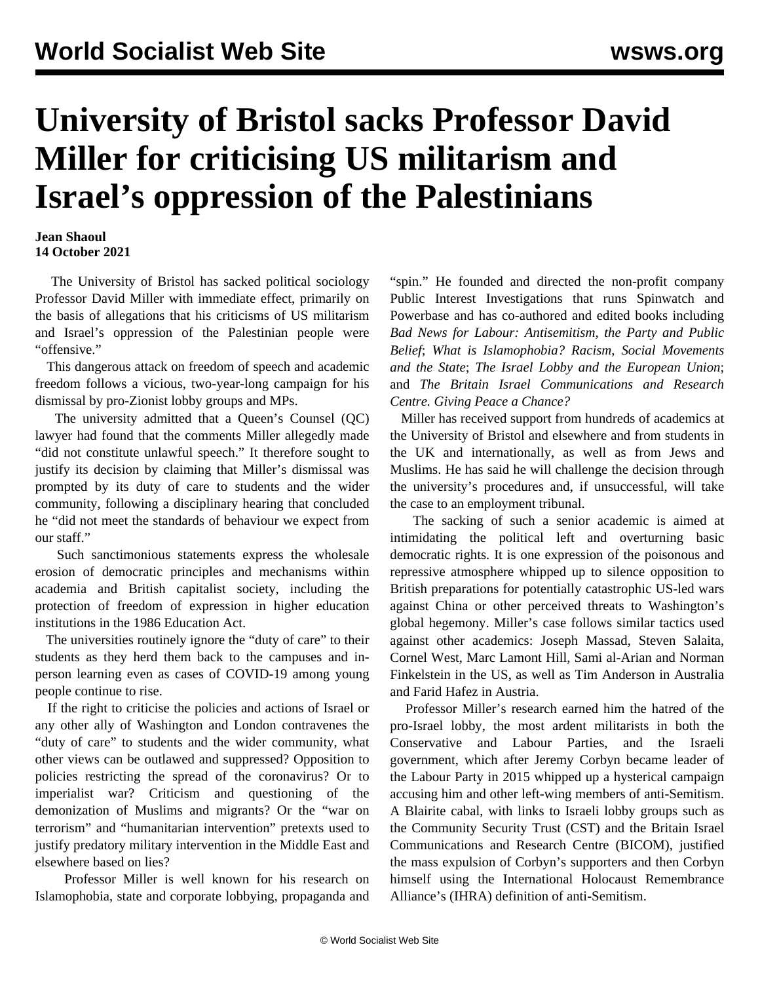## **University of Bristol sacks Professor David Miller for criticising US militarism and Israel's oppression of the Palestinians**

## **Jean Shaoul 14 October 2021**

 The University of Bristol has sacked political sociology Professor David Miller with immediate effect, primarily on the basis of allegations that his criticisms of US militarism and Israel's oppression of the Palestinian people were "offensive."

 This dangerous attack on freedom of speech and academic freedom follows a vicious, two-year-long campaign for his dismissal by pro-Zionist lobby groups and MPs.

 The university admitted that a Queen's Counsel (QC) lawyer had found that the comments Miller allegedly made "did not constitute unlawful speech." It therefore sought to justify its decision by claiming that Miller's dismissal was prompted by its duty of care to students and the wider community, following a disciplinary hearing that concluded he "did not meet the standards of behaviour we expect from our staff."

 Such sanctimonious statements express the wholesale erosion of democratic principles and mechanisms within academia and British capitalist society, including the protection of freedom of expression in higher education institutions in the 1986 Education Act.

 The universities routinely ignore the "duty of care" to their students as they herd them back to the campuses and inperson learning even as cases of COVID-19 among young people continue to rise.

 If the right to criticise the policies and actions of Israel or any other ally of Washington and London contravenes the "duty of care" to students and the wider community, what other views can be outlawed and suppressed? Opposition to policies restricting the spread of the coronavirus? Or to imperialist war? Criticism and questioning of the demonization of Muslims and migrants? Or the "war on terrorism" and "humanitarian intervention" pretexts used to justify predatory military intervention in the Middle East and elsewhere based on lies?

 Professor Miller is well known for his research on Islamophobia, state and corporate lobbying, propaganda and "spin." He founded and directed the non-profit company Public Interest Investigations that runs Spinwatch and Powerbase and has co-authored and edited books including *Bad News for Labour: Antisemitism, the Party and Public Belief*; *What is Islamophobia? Racism, Social Movements and the State*; *The Israel Lobby and the European Union*; and *The Britain Israel Communications and Research Centre. Giving Peace a Chance?*

 Miller has received support from hundreds of academics at the University of Bristol and elsewhere and from students in the UK and internationally, as well as from Jews and Muslims. He has said he will challenge the decision through the university's procedures and, if unsuccessful, will take the case to an employment tribunal.

 The sacking of such a senior academic is aimed at intimidating the political left and overturning basic democratic rights. It is one expression of the poisonous and repressive atmosphere whipped up to silence opposition to British preparations for potentially catastrophic US-led wars against China or other perceived threats to Washington's global hegemony. Miller's case follows similar tactics used against other academics: Joseph Massad, Steven Salaita, Cornel West, Marc Lamont Hill, Sami al-Arian and Norman Finkelstein in the US, as well as Tim Anderson in Australia and Farid Hafez in Austria.

 Professor Miller's research earned him the hatred of the pro-Israel lobby, the most ardent militarists in both the Conservative and Labour Parties, and the Israeli government, which after Jeremy Corbyn became leader of the Labour Party in 2015 whipped up a hysterical campaign accusing him and other left-wing members of anti-Semitism. A Blairite cabal, with links to Israeli lobby groups such as the Community Security Trust (CST) and the Britain Israel Communications and Research Centre (BICOM), justified the mass expulsion of Corbyn's supporters and then Corbyn himself using the International Holocaust Remembrance Alliance's (IHRA) definition of anti-Semitism.